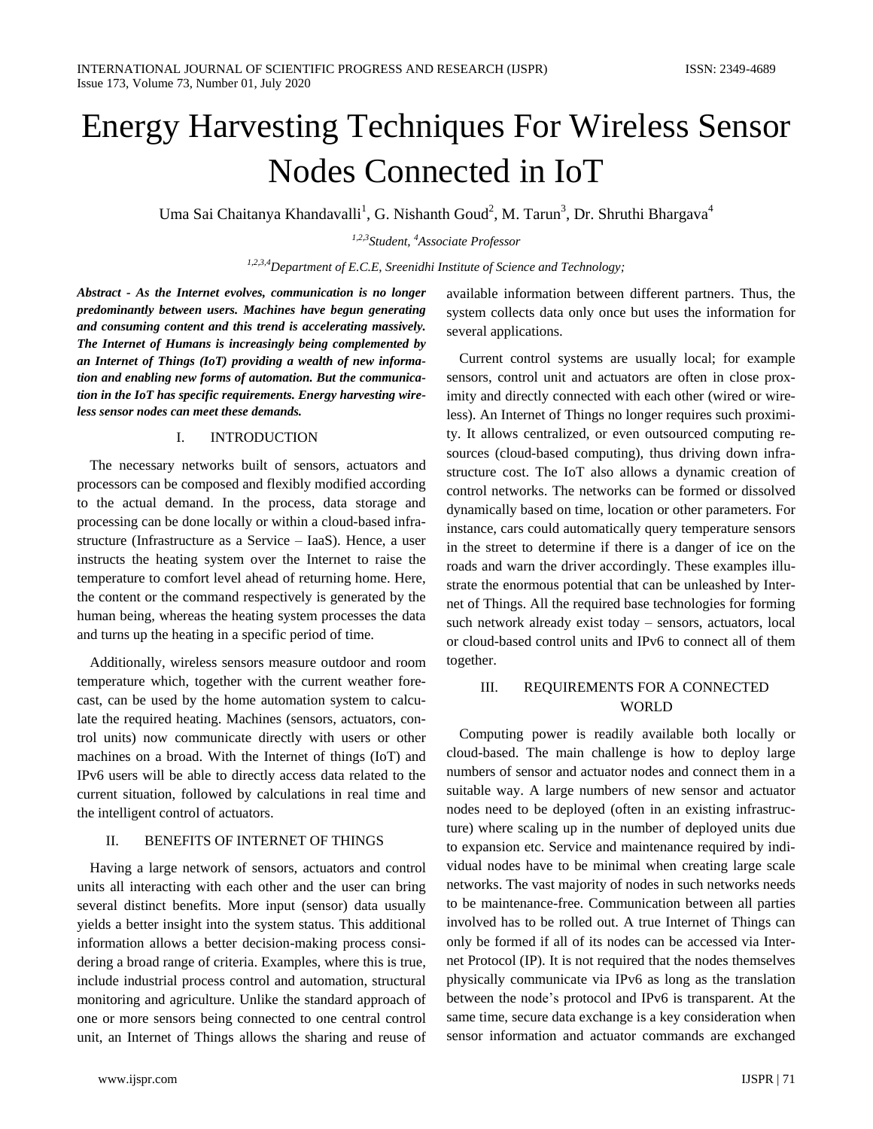# Energy Harvesting Techniques For Wireless Sensor Nodes Connected in IoT

Uma Sai Chaitanya Khandavalli<sup>1</sup>, G. Nishanth Goud<sup>2</sup>, M. Tarun<sup>3</sup>, Dr. Shruthi Bhargava<sup>4</sup>

*1,2,3Student, <sup>4</sup>Associate Professor*

*1,2,3,4Department of E.C.E, Sreenidhi Institute of Science and Technology;* 

*Abstract - As the Internet evolves, communication is no longer predominantly between users. Machines have begun generating and consuming content and this trend is accelerating massively. The Internet of Humans is increasingly being complemented by an Internet of Things (IoT) providing a wealth of new information and enabling new forms of automation. But the communication in the IoT has specific requirements. Energy harvesting wireless sensor nodes can meet these demands.*

## I. INTRODUCTION

The necessary networks built of sensors, actuators and processors can be composed and flexibly modified according to the actual demand. In the process, data storage and processing can be done locally or within a cloud-based infrastructure (Infrastructure as a Service – IaaS). Hence, a user instructs the heating system over the Internet to raise the temperature to comfort level ahead of returning home. Here, the content or the command respectively is generated by the human being, whereas the heating system processes the data and turns up the heating in a specific period of time.

Additionally, wireless sensors measure outdoor and room temperature which, together with the current weather forecast, can be used by the home automation system to calculate the required heating. Machines (sensors, actuators, control units) now communicate directly with users or other machines on a broad. With the Internet of things (IoT) and IPv6 users will be able to directly access data related to the current situation, followed by calculations in real time and the intelligent control of actuators.

## II. BENEFITS OF INTERNET OF THINGS

Having a large network of sensors, actuators and control units all interacting with each other and the user can bring several distinct benefits. More input (sensor) data usually yields a better insight into the system status. This additional information allows a better decision-making process considering a broad range of criteria. Examples, where this is true, include industrial process control and automation, structural monitoring and agriculture. Unlike the standard approach of one or more sensors being connected to one central control unit, an Internet of Things allows the sharing and reuse of

available information between different partners. Thus, the system collects data only once but uses the information for several applications.

Current control systems are usually local; for example sensors, control unit and actuators are often in close proximity and directly connected with each other (wired or wireless). An Internet of Things no longer requires such proximity. It allows centralized, or even outsourced computing resources (cloud-based computing), thus driving down infrastructure cost. The IoT also allows a dynamic creation of control networks. The networks can be formed or dissolved dynamically based on time, location or other parameters. For instance, cars could automatically query temperature sensors in the street to determine if there is a danger of ice on the roads and warn the driver accordingly. These examples illustrate the enormous potential that can be unleashed by Internet of Things. All the required base technologies for forming such network already exist today – sensors, actuators, local or cloud-based control units and IPv6 to connect all of them together.

## III. REQUIREMENTS FOR A CONNECTED WORLD

Computing power is readily available both locally or cloud-based. The main challenge is how to deploy large numbers of sensor and actuator nodes and connect them in a suitable way. A large numbers of new sensor and actuator nodes need to be deployed (often in an existing infrastructure) where scaling up in the number of deployed units due to expansion etc. Service and maintenance required by individual nodes have to be minimal when creating large scale networks. The vast majority of nodes in such networks needs to be maintenance-free. Communication between all parties involved has to be rolled out. A true Internet of Things can only be formed if all of its nodes can be accessed via Internet Protocol (IP). It is not required that the nodes themselves physically communicate via IPv6 as long as the translation between the node's protocol and IPv6 is transparent. At the same time, secure data exchange is a key consideration when sensor information and actuator commands are exchanged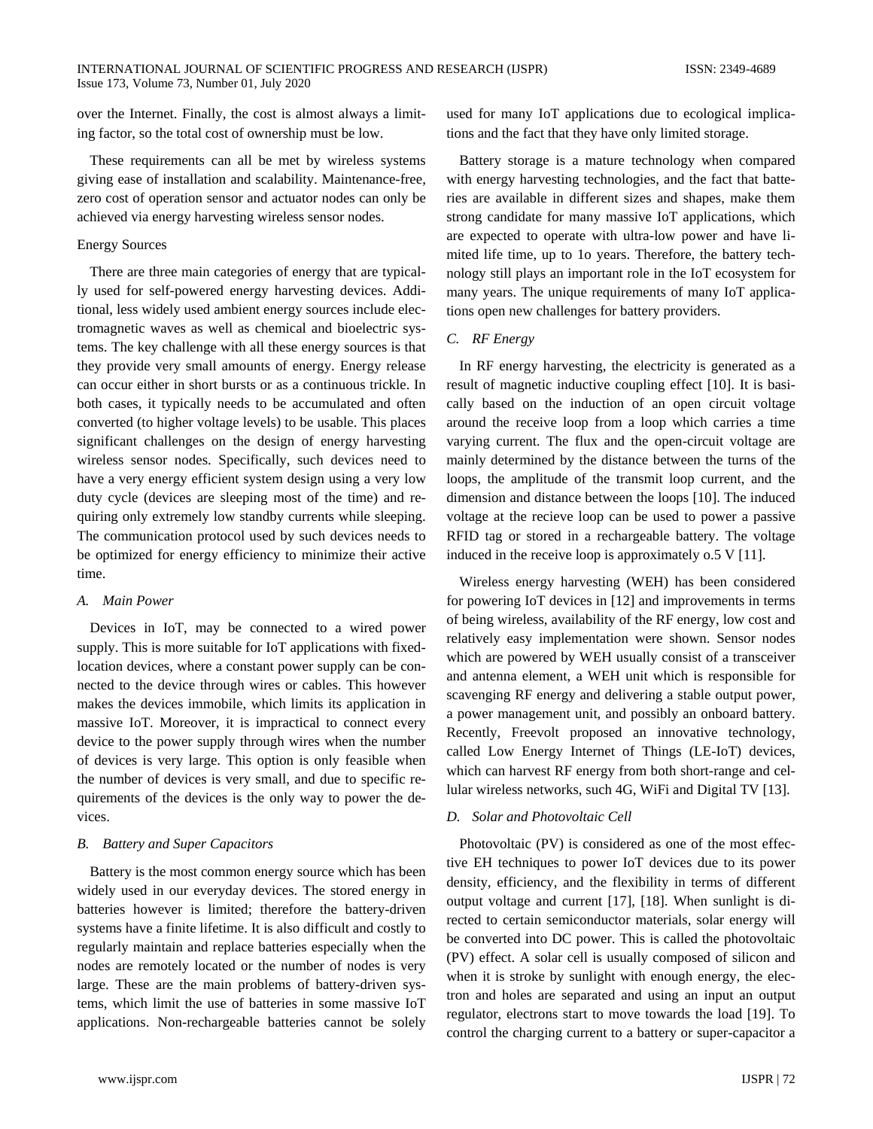over the Internet. Finally, the cost is almost always a limiting factor, so the total cost of ownership must be low.

These requirements can all be met by wireless systems giving ease of installation and scalability. Maintenance-free, zero cost of operation sensor and actuator nodes can only be achieved via energy harvesting wireless sensor nodes.

## Energy Sources

There are three main categories of energy that are typically used for self-powered energy harvesting devices. Additional, less widely used ambient energy sources include electromagnetic waves as well as chemical and bioelectric systems. The key challenge with all these energy sources is that they provide very small amounts of energy. Energy release can occur either in short bursts or as a continuous trickle. In both cases, it typically needs to be accumulated and often converted (to higher voltage levels) to be usable. This places significant challenges on the design of energy harvesting wireless sensor nodes. Specifically, such devices need to have a very energy efficient system design using a very low duty cycle (devices are sleeping most of the time) and requiring only extremely low standby currents while sleeping. The communication protocol used by such devices needs to be optimized for energy efficiency to minimize their active time.

#### *A. Main Power*

Devices in IoT, may be connected to a wired power supply. This is more suitable for IoT applications with fixedlocation devices, where a constant power supply can be connected to the device through wires or cables. This however makes the devices immobile, which limits its application in massive IoT. Moreover, it is impractical to connect every device to the power supply through wires when the number of devices is very large. This option is only feasible when the number of devices is very small, and due to specific requirements of the devices is the only way to power the devices.

## *B. Battery and Super Capacitors*

Battery is the most common energy source which has been widely used in our everyday devices. The stored energy in batteries however is limited; therefore the battery-driven systems have a finite lifetime. It is also difficult and costly to regularly maintain and replace batteries especially when the nodes are remotely located or the number of nodes is very large. These are the main problems of battery-driven systems, which limit the use of batteries in some massive IoT applications. Non-rechargeable batteries cannot be solely

used for many IoT applications due to ecological implications and the fact that they have only limited storage.

Battery storage is a mature technology when compared with energy harvesting technologies, and the fact that batteries are available in different sizes and shapes, make them strong candidate for many massive IoT applications, which are expected to operate with ultra-low power and have limited life time, up to 1o years. Therefore, the battery technology still plays an important role in the IoT ecosystem for many years. The unique requirements of many IoT applications open new challenges for battery providers.

## *C. RF Energy*

In RF energy harvesting, the electricity is generated as a result of magnetic inductive coupling effect [10]. It is basically based on the induction of an open circuit voltage around the receive loop from a loop which carries a time varying current. The flux and the open-circuit voltage are mainly determined by the distance between the turns of the loops, the amplitude of the transmit loop current, and the dimension and distance between the loops [10]. The induced voltage at the recieve loop can be used to power a passive RFID tag or stored in a rechargeable battery. The voltage induced in the receive loop is approximately o.5 V [11].

Wireless energy harvesting (WEH) has been considered for powering IoT devices in [12] and improvements in terms of being wireless, availability of the RF energy, low cost and relatively easy implementation were shown. Sensor nodes which are powered by WEH usually consist of a transceiver and antenna element, a WEH unit which is responsible for scavenging RF energy and delivering a stable output power, a power management unit, and possibly an onboard battery. Recently, Freevolt proposed an innovative technology, called Low Energy Internet of Things (LE-IoT) devices, which can harvest RF energy from both short-range and cellular wireless networks, such 4G, WiFi and Digital TV [13].

#### *D. Solar and Photovoltaic Cell*

Photovoltaic (PV) is considered as one of the most effective EH techniques to power IoT devices due to its power density, efficiency, and the flexibility in terms of different output voltage and current [17], [18]. When sunlight is directed to certain semiconductor materials, solar energy will be converted into DC power. This is called the photovoltaic (PV) effect. A solar cell is usually composed of silicon and when it is stroke by sunlight with enough energy, the electron and holes are separated and using an input an output regulator, electrons start to move towards the load [19]. To control the charging current to a battery or super-capacitor a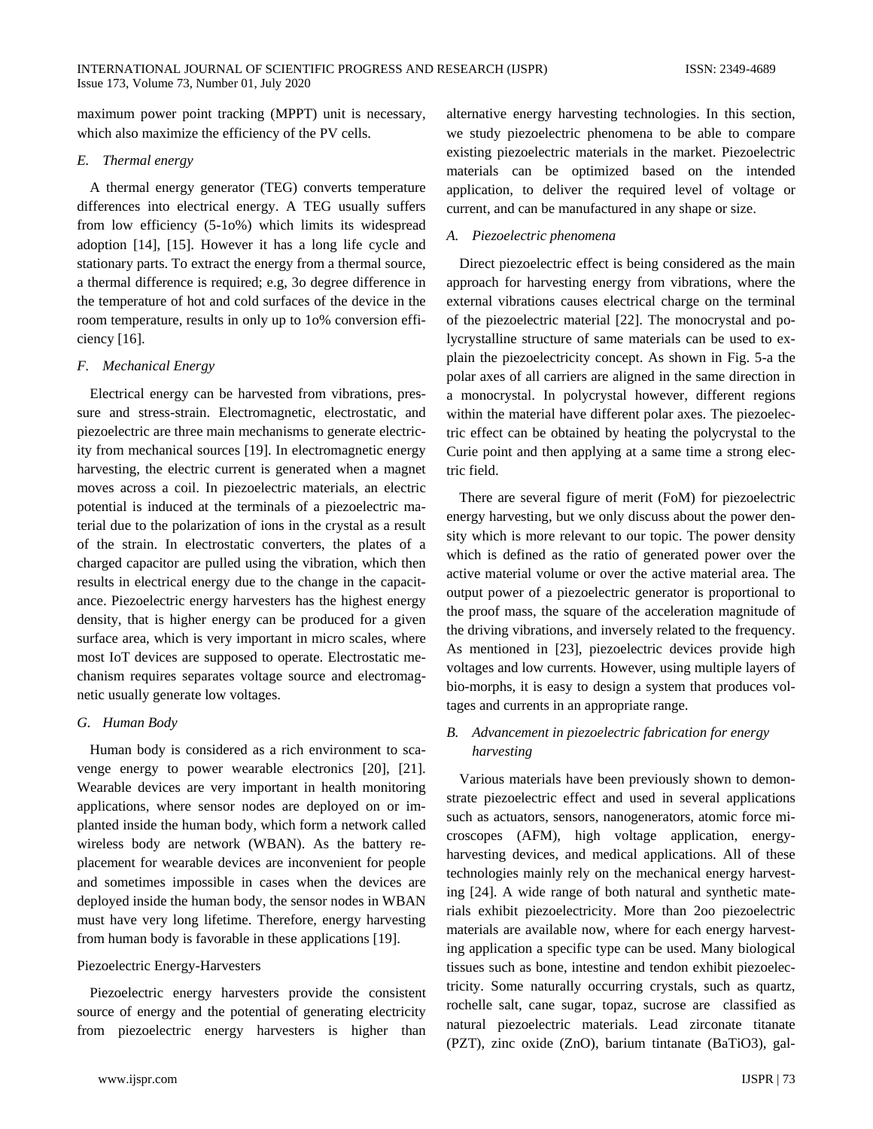maximum power point tracking (MPPT) unit is necessary, which also maximize the efficiency of the PV cells.

#### *E. Thermal energy*

A thermal energy generator (TEG) converts temperature differences into electrical energy. A TEG usually suffers from low efficiency (5-1o%) which limits its widespread adoption [14], [15]. However it has a long life cycle and stationary parts. To extract the energy from a thermal source, a thermal difference is required; e.g, 3o degree difference in the temperature of hot and cold surfaces of the device in the room temperature, results in only up to 1o% conversion efficiency [16].

### *F. Mechanical Energy*

Electrical energy can be harvested from vibrations, pressure and stress-strain. Electromagnetic, electrostatic, and piezoelectric are three main mechanisms to generate electricity from mechanical sources [19]. In electromagnetic energy harvesting, the electric current is generated when a magnet moves across a coil. In piezoelectric materials, an electric potential is induced at the terminals of a piezoelectric material due to the polarization of ions in the crystal as a result of the strain. In electrostatic converters, the plates of a charged capacitor are pulled using the vibration, which then results in electrical energy due to the change in the capacitance. Piezoelectric energy harvesters has the highest energy density, that is higher energy can be produced for a given surface area, which is very important in micro scales, where most IoT devices are supposed to operate. Electrostatic mechanism requires separates voltage source and electromagnetic usually generate low voltages.

## *G. Human Body*

Human body is considered as a rich environment to scavenge energy to power wearable electronics [20], [21]. Wearable devices are very important in health monitoring applications, where sensor nodes are deployed on or implanted inside the human body, which form a network called wireless body are network (WBAN). As the battery replacement for wearable devices are inconvenient for people and sometimes impossible in cases when the devices are deployed inside the human body, the sensor nodes in WBAN must have very long lifetime. Therefore, energy harvesting from human body is favorable in these applications [19].

## Piezoelectric Energy-Harvesters

Piezoelectric energy harvesters provide the consistent source of energy and the potential of generating electricity from piezoelectric energy harvesters is higher than alternative energy harvesting technologies. In this section, we study piezoelectric phenomena to be able to compare existing piezoelectric materials in the market. Piezoelectric materials can be optimized based on the intended application, to deliver the required level of voltage or current, and can be manufactured in any shape or size.

## *A. Piezoelectric phenomena*

Direct piezoelectric effect is being considered as the main approach for harvesting energy from vibrations, where the external vibrations causes electrical charge on the terminal of the piezoelectric material [22]. The monocrystal and polycrystalline structure of same materials can be used to explain the piezoelectricity concept. As shown in Fig. 5-a the polar axes of all carriers are aligned in the same direction in a monocrystal. In polycrystal however, different regions within the material have different polar axes. The piezoelectric effect can be obtained by heating the polycrystal to the Curie point and then applying at a same time a strong electric field.

There are several figure of merit (FoM) for piezoelectric energy harvesting, but we only discuss about the power density which is more relevant to our topic. The power density which is defined as the ratio of generated power over the active material volume or over the active material area. The output power of a piezoelectric generator is proportional to the proof mass, the square of the acceleration magnitude of the driving vibrations, and inversely related to the frequency. As mentioned in [23], piezoelectric devices provide high voltages and low currents. However, using multiple layers of bio-morphs, it is easy to design a system that produces voltages and currents in an appropriate range.

## *B. Advancement in piezoelectric fabrication for energy harvesting*

Various materials have been previously shown to demonstrate piezoelectric effect and used in several applications such as actuators, sensors, nanogenerators, atomic force microscopes (AFM), high voltage application, energyharvesting devices, and medical applications. All of these technologies mainly rely on the mechanical energy harvesting [24]. A wide range of both natural and synthetic materials exhibit piezoelectricity. More than 2oo piezoelectric materials are available now, where for each energy harvesting application a specific type can be used. Many biological tissues such as bone, intestine and tendon exhibit piezoelectricity. Some naturally occurring crystals, such as quartz, rochelle salt, cane sugar, topaz, sucrose are classified as natural piezoelectric materials. Lead zirconate titanate (PZT), zinc oxide (ZnO), barium tintanate (BaTiO3), gal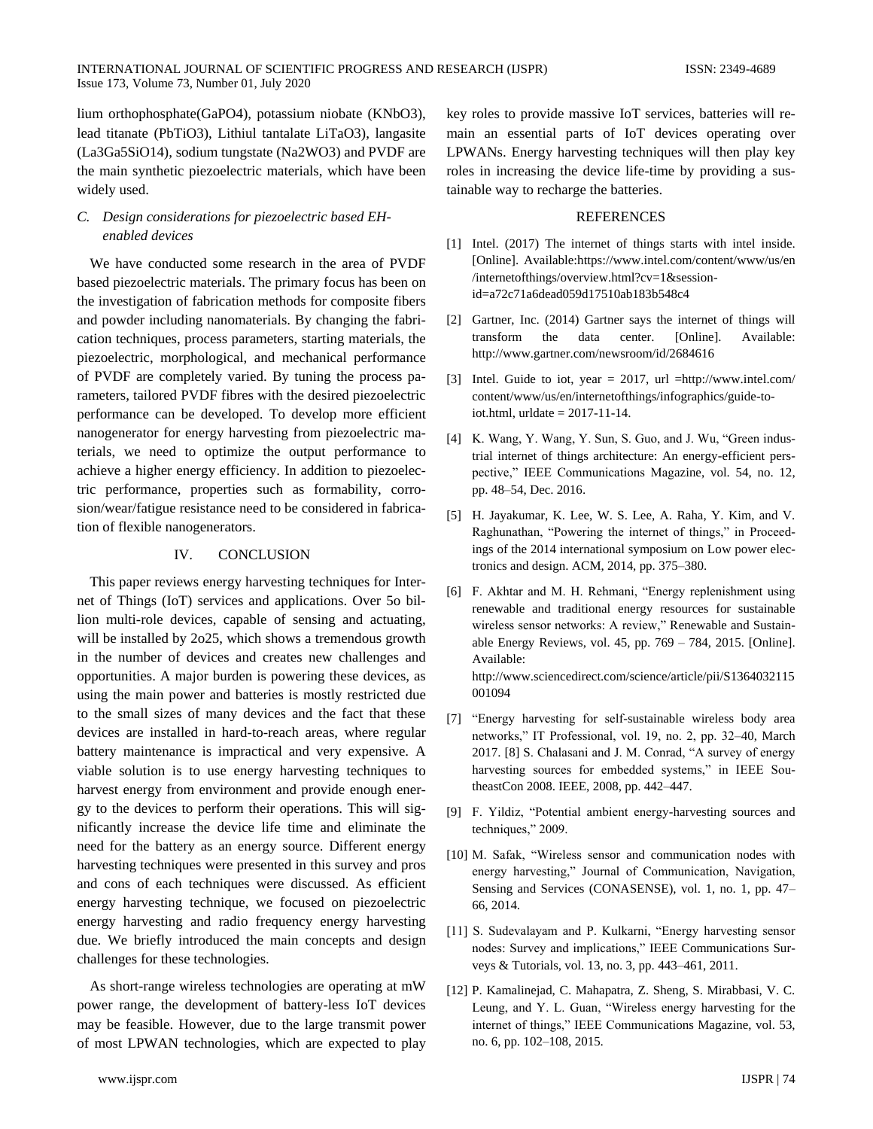lium orthophosphate(GaPO4), potassium niobate (KNbO3), lead titanate (PbTiO3), Lithiul tantalate LiTaO3), langasite (La3Ga5SiO14), sodium tungstate (Na2WO3) and PVDF are the main synthetic piezoelectric materials, which have been widely used.

## *C. Design considerations for piezoelectric based EHenabled devices*

We have conducted some research in the area of PVDF based piezoelectric materials. The primary focus has been on the investigation of fabrication methods for composite fibers and powder including nanomaterials. By changing the fabrication techniques, process parameters, starting materials, the piezoelectric, morphological, and mechanical performance of PVDF are completely varied. By tuning the process parameters, tailored PVDF fibres with the desired piezoelectric performance can be developed. To develop more efficient nanogenerator for energy harvesting from piezoelectric materials, we need to optimize the output performance to achieve a higher energy efficiency. In addition to piezoelectric performance, properties such as formability, corrosion/wear/fatigue resistance need to be considered in fabrication of flexible nanogenerators.

## IV. CONCLUSION

This paper reviews energy harvesting techniques for Internet of Things (IoT) services and applications. Over 5o billion multi-role devices, capable of sensing and actuating, will be installed by 2o25, which shows a tremendous growth in the number of devices and creates new challenges and opportunities. A major burden is powering these devices, as using the main power and batteries is mostly restricted due to the small sizes of many devices and the fact that these devices are installed in hard-to-reach areas, where regular battery maintenance is impractical and very expensive. A viable solution is to use energy harvesting techniques to harvest energy from environment and provide enough energy to the devices to perform their operations. This will significantly increase the device life time and eliminate the need for the battery as an energy source. Different energy harvesting techniques were presented in this survey and pros and cons of each techniques were discussed. As efficient energy harvesting technique, we focused on piezoelectric energy harvesting and radio frequency energy harvesting due. We briefly introduced the main concepts and design challenges for these technologies.

As short-range wireless technologies are operating at mW power range, the development of battery-less IoT devices may be feasible. However, due to the large transmit power of most LPWAN technologies, which are expected to play

key roles to provide massive IoT services, batteries will remain an essential parts of IoT devices operating over LPWANs. Energy harvesting techniques will then play key roles in increasing the device life-time by providing a sustainable way to recharge the batteries.

#### **REFERENCES**

- [1] Intel. (2017) The internet of things starts with intel inside. [Online]. Available[:https://www.intel.com/content/w](https://www.intel.com/content/)ww/us/en /internetofthings/overview.html?cv=1&sessionid=a72c71a6dead059d17510ab183b548c4
- [2] Gartner, Inc. (2014) Gartner says the internet of things will transform the data center. [Online]. Available: http://www.gartner.com/newsroom/id/2684616
- [3] Intel. Guide to iot, year = 2017, url =http://www.intel.com/ content/www/us/en/internetofthings/infographics/guide-toiot.html, urldate = 2017-11-14.
- [4] K. Wang, Y. Wang, Y. Sun, S. Guo, and J. Wu, "Green industrial internet of things architecture: An energy-efficient perspective," IEEE Communications Magazine, vol. 54, no. 12, pp. 48–54, Dec. 2016.
- [5] H. Jayakumar, K. Lee, W. S. Lee, A. Raha, Y. Kim, and V. Raghunathan, "Powering the internet of things," in Proceedings of the 2014 international symposium on Low power electronics and design. ACM, 2014, pp. 375–380.
- [6] F. Akhtar and M. H. Rehmani, "Energy replenishment using renewable and traditional energy resources for sustainable wireless sensor networks: A review," Renewable and Sustainable Energy Reviews, vol. 45, pp. 769 – 784, 2015. [Online]. Available: http://www.sciencedirect.com/science/article/pii/S1364032115 001094
- [7] "Energy harvesting for self-sustainable wireless body area networks," IT Professional, vol. 19, no. 2, pp. 32–40, March 2017. [8] S. Chalasani and J. M. Conrad, "A survey of energy harvesting sources for embedded systems," in IEEE SoutheastCon 2008. IEEE, 2008, pp. 442–447.
- [9] F. Yildiz, "Potential ambient energy-harvesting sources and techniques," 2009.
- [10] M. Safak, "Wireless sensor and communication nodes with energy harvesting," Journal of Communication, Navigation, Sensing and Services (CONASENSE), vol. 1, no. 1, pp. 47– 66, 2014.
- [11] S. Sudevalayam and P. Kulkarni, "Energy harvesting sensor nodes: Survey and implications," IEEE Communications Surveys & Tutorials, vol. 13, no. 3, pp. 443–461, 2011.
- [12] P. Kamalinejad, C. Mahapatra, Z. Sheng, S. Mirabbasi, V. C. Leung, and Y. L. Guan, "Wireless energy harvesting for the internet of things," IEEE Communications Magazine, vol. 53, no. 6, pp. 102–108, 2015.